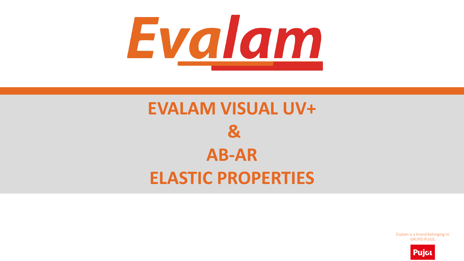

# **EVALAM VISUAL UV+ & AB-AR ELASTIC PROPERTIES**

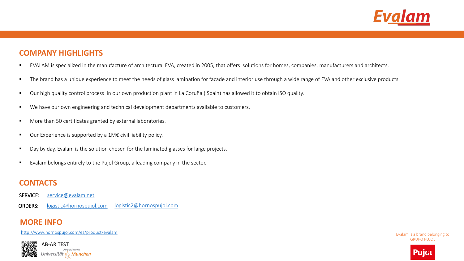

#### **COMPANY HIGHLIGHTS**

- EVALAM is specialized in the manufacture of architectural EVA, created in 2005, that offers solutions for homes, companies, manufacturers and architects.
- The brand has a unique experience to meet the needs of glass lamination for facade and interior use through a wide range of EVA and other exclusive products.
- Our high quality control process in our own production plant in La Coruña (Spain) has allowed it to obtain ISO quality.
- We have our own engineering and technical development departments available to customers.
- More than 50 certificates granted by external laboratories.
- Our Experience is supported by a 1M€ civil liability policy.
- Day by day, Evalam is the solution chosen for the laminated glasses for large projects.
- Evalam belongs entirely to the Pujol Group, a leading company in the sector.

#### **CONTACTS**

- SERVICE: [service@evalam.net](mailto:service@evalam.net)
- ORDERS: [logistic@hornospujol.com](mailto:logistic@hornospujol.com) [logistic2@hornospujol.com](mailto:logistic2@hornospujol.com)

#### **MORE INFO**

<http://www.hornospujol.com/es/product/evalam>



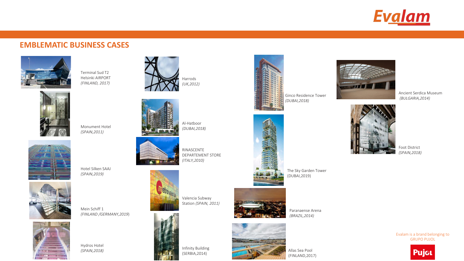

#### **EMBLEMATIC BUSINESS CASES**



Terminal Sud T2 Helsinki AIRPORT *(FINLAND, 2017)* 



Monument Hotel *(SPAIN,2011)*



Hotel Silken SAAJ *(SPAIN,2019)*



Mein Schiff 1 *(FINLAND /GERMANY,2019*)

Hydros Hotel *(SPAIN,2018)*





Al-Hatboor *(DUBAI,2018)*



RINASCENTE DEPARTEMENT STORE *(ITALY,2010)*



Valencia Subway Station *(SPAIN, 2011)* 



Infinity Building (SERBIA,2014)



Ginco Residence Tower *(DUBAI,2018)* 





The Sky Garden Tower (DUBAI,2019)



Paranaense Arena *(BRAZIL,2014)* 





Ancient Serdica Museum *(BULGARIA,2014)*



Foot District *(SPAIN,2018)* 

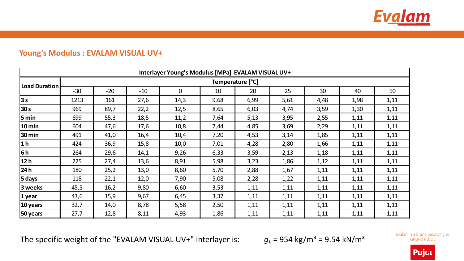

#### **Young's Modulus : EVALAM VISUAL UV+**

| Interlayer Young's Modulus [MPa] EVALAM VISUAL UV+ |                  |       |       |             |      |      |      |      |      |      |  |  |  |
|----------------------------------------------------|------------------|-------|-------|-------------|------|------|------|------|------|------|--|--|--|
|                                                    | Temperature [°C] |       |       |             |      |      |      |      |      |      |  |  |  |
| Load Duration                                      | $-30$            | $-20$ | $-10$ | $\mathbf 0$ | 10   | 20   | 25   | 30   | 40   | 50   |  |  |  |
| 3s                                                 | 1213             | 161   | 27,6  | 14,3        | 9,68 | 6,99 | 5,61 | 4,48 | 1,98 | 1,11 |  |  |  |
| 30 s                                               | 969              | 89,7  | 22,2  | 12,5        | 8,65 | 6,03 | 4,74 | 3,59 | 1,30 | 1,11 |  |  |  |
| $5 \text{ min}$                                    | 699              | 55,3  | 18,5  | 11,2        | 7,64 | 5,13 | 3,95 | 2,55 | 1,11 | 1,11 |  |  |  |
| $ 10 \text{ min} $                                 | 604              | 47,6  | 17,6  | 10,8        | 7,44 | 4,85 | 3,69 | 2,29 | 1,11 | 1,11 |  |  |  |
| 30 min                                             | 491              | 41,0  | 16,4  | 10,4        | 7,20 | 4,53 | 3,14 | 1,85 | 1,11 | 1,11 |  |  |  |
| 1 <sub>h</sub>                                     | 424              | 36,9  | 15,8  | 10,0        | 7,01 | 4,28 | 2,80 | 1,66 | 1,11 | 1,11 |  |  |  |
| 6h                                                 | 264              | 29,6  | 14,1  | 9,26        | 6,33 | 3,59 | 2,13 | 1,18 | 1,11 | 1,11 |  |  |  |
| 12h                                                | 225              | 27,4  | 13,6  | 8,91        | 5,98 | 3,23 | 1,86 | 1,12 | 1,11 | 1,11 |  |  |  |
| 24h                                                | 180              | 25,2  | 13,0  | 8,60        | 5,70 | 2,88 | 1,67 | 1,11 | 1,11 | 1,11 |  |  |  |
| $5$ days                                           | 118              | 22,1  | 12,0  | 7,90        | 5,08 | 2,28 | 1,22 | 1,11 | 1,11 | 1,11 |  |  |  |
| 3 weeks                                            | 45,5             | 16,2  | 9,80  | 6,60        | 3,53 | 1,11 | 1,11 | 1,11 | 1,11 | 1,11 |  |  |  |
| $1$ year                                           | 43,6             | 15,9  | 9,67  | 6,45        | 3,37 | 1,11 | 1,11 | 1,11 | 1,11 | 1,11 |  |  |  |
| 10 years                                           | 32,7             | 14,0  | 8,78  | 5,58        | 2,50 | 1,11 | 1,11 | 1,11 | 1,11 | 1,11 |  |  |  |
| 50 years                                           | 27,7             | 12,8  | 8,11  | 4,93        | 1,86 | 1,11 | 1,11 | 1,11 | 1,11 | 1,11 |  |  |  |

The specific weight of the "EVALAM VISUAL UV+" interlayer is:  $g_k = 954 \text{ kg/m}^3 = 9.54 \text{ kN/m}^3$ 

Evalam is a brand belonging to

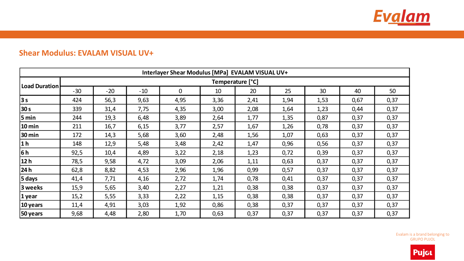

## **Shear Modulus: EVALAM VISUAL UV+**

| Interlayer Shear Modulus [MPa] EVALAM VISUAL UV+ |                  |       |       |             |      |      |      |      |      |      |  |  |  |
|--------------------------------------------------|------------------|-------|-------|-------------|------|------|------|------|------|------|--|--|--|
|                                                  | Temperature [°C] |       |       |             |      |      |      |      |      |      |  |  |  |
| Load Duration                                    | $-30$            | $-20$ | $-10$ | $\mathbf 0$ | 10   | 20   | 25   | 30   | 40   | 50   |  |  |  |
| 3s                                               | 424              | 56,3  | 9,63  | 4,95        | 3,36 | 2,41 | 1,94 | 1,53 | 0,67 | 0,37 |  |  |  |
| 30 <sub>s</sub>                                  | 339              | 31,4  | 7,75  | 4,35        | 3,00 | 2,08 | 1,64 | 1,23 | 0,44 | 0,37 |  |  |  |
| $5 \text{ min}$                                  | 244              | 19,3  | 6,48  | 3,89        | 2,64 | 1,77 | 1,35 | 0,87 | 0,37 | 0,37 |  |  |  |
| $10$ min                                         | 211              | 16,7  | 6,15  | 3,77        | 2,57 | 1,67 | 1,26 | 0,78 | 0,37 | 0,37 |  |  |  |
| 30 min                                           | 172              | 14,3  | 5,68  | 3,60        | 2,48 | 1,56 | 1,07 | 0,63 | 0,37 | 0,37 |  |  |  |
| 1 <sub>h</sub>                                   | 148              | 12,9  | 5,48  | 3,48        | 2,42 | 1,47 | 0,96 | 0,56 | 0,37 | 0,37 |  |  |  |
| 6h                                               | 92,5             | 10,4  | 4,89  | 3,22        | 2,18 | 1,23 | 0,72 | 0,39 | 0,37 | 0,37 |  |  |  |
| 12 h                                             | 78,5             | 9,58  | 4,72  | 3,09        | 2,06 | 1,11 | 0,63 | 0,37 | 0,37 | 0,37 |  |  |  |
| 24 h                                             | 62,8             | 8,82  | 4,53  | 2,96        | 1,96 | 0,99 | 0,57 | 0,37 | 0,37 | 0,37 |  |  |  |
| 5 days                                           | 41,4             | 7,71  | 4,16  | 2,72        | 1,74 | 0,78 | 0,41 | 0,37 | 0,37 | 0,37 |  |  |  |
| 3 weeks                                          | 15,9             | 5,65  | 3,40  | 2,27        | 1,21 | 0,38 | 0,38 | 0,37 | 0,37 | 0,37 |  |  |  |
| $ 1$ year                                        | 15,2             | 5,55  | 3,33  | 2,22        | 1,15 | 0,38 | 0,38 | 0,37 | 0,37 | 0,37 |  |  |  |
| 10 years                                         | 11,4             | 4,91  | 3,03  | 1,92        | 0,86 | 0,38 | 0,37 | 0,37 | 0,37 | 0,37 |  |  |  |
| 50 years                                         | 9,68             | 4,48  | 2,80  | 1,70        | 0,63 | 0,37 | 0,37 | 0,37 | 0,37 | 0,37 |  |  |  |

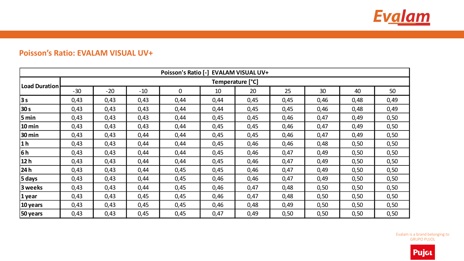

## **Poisson's Ratio: EVALAM VISUAL UV+**

| Poisson's Ratio [-] EVALAM VISUAL UV+ |                  |       |       |             |      |      |      |      |      |      |  |  |  |
|---------------------------------------|------------------|-------|-------|-------------|------|------|------|------|------|------|--|--|--|
|                                       | Temperature [°C] |       |       |             |      |      |      |      |      |      |  |  |  |
| Load Duration                         | $-30$            | $-20$ | $-10$ | $\mathbf 0$ | 10   | 20   | 25   | 30   | 40   | 50   |  |  |  |
| 3s                                    | 0,43             | 0,43  | 0,43  | 0,44        | 0,44 | 0,45 | 0,45 | 0,46 | 0,48 | 0,49 |  |  |  |
| 30 <sub>s</sub>                       | 0,43             | 0,43  | 0,43  | 0,44        | 0,44 | 0,45 | 0,45 | 0,46 | 0,48 | 0,49 |  |  |  |
| $5 \text{ min}$                       | 0,43             | 0,43  | 0,43  | 0,44        | 0,45 | 0,45 | 0,46 | 0,47 | 0,49 | 0,50 |  |  |  |
| $10$ min                              | 0,43             | 0,43  | 0,43  | 0,44        | 0,45 | 0,45 | 0,46 | 0,47 | 0,49 | 0,50 |  |  |  |
| $30 \text{ min}$                      | 0,43             | 0,43  | 0,44  | 0,44        | 0,45 | 0,45 | 0,46 | 0,47 | 0,49 | 0,50 |  |  |  |
| 1 <sub>h</sub>                        | 0,43             | 0,43  | 0,44  | 0,44        | 0,45 | 0,46 | 0,46 | 0,48 | 0,50 | 0,50 |  |  |  |
| 6h                                    | 0,43             | 0,43  | 0,44  | 0,44        | 0,45 | 0,46 | 0,47 | 0,49 | 0,50 | 0,50 |  |  |  |
| 12h                                   | 0,43             | 0,43  | 0,44  | 0,44        | 0,45 | 0,46 | 0,47 | 0,49 | 0,50 | 0,50 |  |  |  |
| 24h                                   | 0,43             | 0,43  | 0,44  | 0,45        | 0,45 | 0,46 | 0,47 | 0,49 | 0,50 | 0,50 |  |  |  |
| 5 days                                | 0,43             | 0,43  | 0,44  | 0,45        | 0,46 | 0,46 | 0,47 | 0,49 | 0,50 | 0,50 |  |  |  |
| 3 weeks                               | 0,43             | 0,43  | 0,44  | 0,45        | 0,46 | 0,47 | 0,48 | 0,50 | 0,50 | 0,50 |  |  |  |
| $1$ year                              | 0,43             | 0,43  | 0,45  | 0,45        | 0,46 | 0,47 | 0,48 | 0,50 | 0,50 | 0,50 |  |  |  |
| 10 years                              | 0,43             | 0,43  | 0,45  | 0,45        | 0,46 | 0,48 | 0,49 | 0,50 | 0,50 | 0,50 |  |  |  |
| 50 years                              | 0,43             | 0,43  | 0,45  | 0,45        | 0,47 | 0,49 | 0,50 | 0,50 | 0,50 | 0,50 |  |  |  |

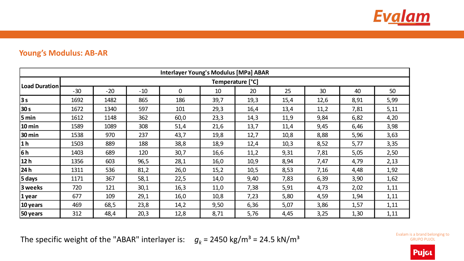

#### **Young's Modulus: AB-AR**

| <b>Interlayer Young's Modulus [MPa] ABAR</b> |                  |       |       |                |      |      |      |      |      |      |  |  |  |
|----------------------------------------------|------------------|-------|-------|----------------|------|------|------|------|------|------|--|--|--|
|                                              | Temperature [°C] |       |       |                |      |      |      |      |      |      |  |  |  |
| Load Duration                                | $-30$            | $-20$ | $-10$ | $\overline{0}$ | 10   | 20   | 25   | 30   | 40   | 50   |  |  |  |
| 3s                                           | 1692             | 1482  | 865   | 186            | 39,7 | 19,3 | 15,4 | 12,6 | 8,91 | 5,99 |  |  |  |
| 30 s                                         | 1672             | 1340  | 597   | 101            | 29,3 | 16,4 | 13,4 | 11,2 | 7,81 | 5,11 |  |  |  |
| $5 \text{ min}$                              | 1612             | 1148  | 362   | 60,0           | 23,3 | 14,3 | 11,9 | 9,84 | 6,82 | 4,20 |  |  |  |
| $ 10 \text{ min} $                           | 1589             | 1089  | 308   | 51,4           | 21,6 | 13,7 | 11,4 | 9,45 | 6,46 | 3,98 |  |  |  |
| 30 min                                       | 1538             | 970   | 237   | 43,7           | 19,8 | 12,7 | 10,8 | 8,88 | 5,96 | 3,63 |  |  |  |
| 1 <sub>h</sub>                               | 1503             | 889   | 188   | 38,8           | 18,9 | 12,4 | 10,3 | 8,52 | 5,77 | 3,35 |  |  |  |
| 6h                                           | 1403             | 689   | 120   | 30,7           | 16,6 | 11,2 | 9,31 | 7,81 | 5,05 | 2,50 |  |  |  |
| 12h                                          | 1356             | 603   | 96,5  | 28,1           | 16,0 | 10,9 | 8,94 | 7,47 | 4,79 | 2,13 |  |  |  |
| 24h                                          | 1311             | 536   | 81,2  | 26,0           | 15,2 | 10,5 | 8,53 | 7,16 | 4,48 | 1,92 |  |  |  |
| 5 days                                       | 1171             | 367   | 58,1  | 22,5           | 14,0 | 9,40 | 7,83 | 6,39 | 3,90 | 1,62 |  |  |  |
| 3 weeks                                      | 720              | 121   | 30,1  | 16,3           | 11,0 | 7,38 | 5,91 | 4,73 | 2,02 | 1,11 |  |  |  |
| $1$ year                                     | 677              | 109   | 29,1  | 16,0           | 10,8 | 7,23 | 5,80 | 4,59 | 1,94 | 1,11 |  |  |  |
| 10 years                                     | 469              | 68,5  | 23,8  | 14,2           | 9,50 | 6,36 | 5,07 | 3,86 | 1,57 | 1,11 |  |  |  |
| 50 years                                     | 312              | 48,4  | 20,3  | 12,8           | 8,71 | 5,76 | 4,45 | 3,25 | 1,30 | 1,11 |  |  |  |

The specific weight of the "ABAR" interlayer is:  $g_k = 2450 \text{ kg/m}^3 = 24.5 \text{ kN/m}^3$ 

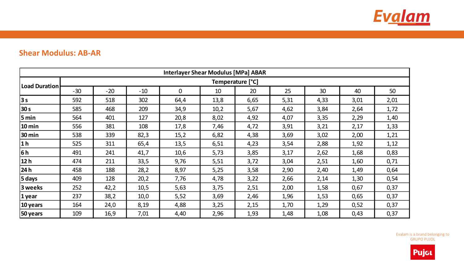

## **Shear Modulus: AB-AR**

| <b>Interlayer Shear Modulus [MPa] ABAR</b> |                  |       |       |             |      |      |      |      |      |      |  |  |  |
|--------------------------------------------|------------------|-------|-------|-------------|------|------|------|------|------|------|--|--|--|
|                                            | Temperature [°C] |       |       |             |      |      |      |      |      |      |  |  |  |
| Load Duration                              | $-30$            | $-20$ | $-10$ | $\mathbf 0$ | 10   | 20   | 25   | 30   | 40   | 50   |  |  |  |
| 3s                                         | 592              | 518   | 302   | 64,4        | 13,8 | 6,65 | 5,31 | 4,33 | 3,01 | 2,01 |  |  |  |
| 30 <sub>s</sub>                            | 585              | 468   | 209   | 34,9        | 10,2 | 5,67 | 4,62 | 3,84 | 2,64 | 1,72 |  |  |  |
| $5 \text{ min}$                            | 564              | 401   | 127   | 20,8        | 8,02 | 4,92 | 4,07 | 3,35 | 2,29 | 1,40 |  |  |  |
| $10$ min                                   | 556              | 381   | 108   | 17,8        | 7,46 | 4,72 | 3,91 | 3,21 | 2,17 | 1,33 |  |  |  |
| $30 \text{ min}$                           | 538              | 339   | 82,3  | 15,2        | 6,82 | 4,38 | 3,69 | 3,02 | 2,00 | 1,21 |  |  |  |
| 1 <sub>h</sub>                             | 525              | 311   | 65,4  | 13,5        | 6,51 | 4,23 | 3,54 | 2,88 | 1,92 | 1,12 |  |  |  |
| 6h                                         | 491              | 241   | 41,7  | 10,6        | 5,73 | 3,85 | 3,17 | 2,62 | 1,68 | 0,83 |  |  |  |
| 12h                                        | 474              | 211   | 33,5  | 9,76        | 5,51 | 3,72 | 3,04 | 2,51 | 1,60 | 0,71 |  |  |  |
| 24h                                        | 458              | 188   | 28,2  | 8,97        | 5,25 | 3,58 | 2,90 | 2,40 | 1,49 | 0,64 |  |  |  |
| $5$ days                                   | 409              | 128   | 20,2  | 7,76        | 4,78 | 3,22 | 2,66 | 2,14 | 1,30 | 0,54 |  |  |  |
| 3 weeks                                    | 252              | 42,2  | 10,5  | 5,63        | 3,75 | 2,51 | 2,00 | 1,58 | 0,67 | 0,37 |  |  |  |
| $1$ year                                   | 237              | 38,2  | 10,0  | 5,52        | 3,69 | 2,46 | 1,96 | 1,53 | 0,65 | 0,37 |  |  |  |
| 10 years                                   | 164              | 24,0  | 8,19  | 4,88        | 3,25 | 2,15 | 1,70 | 1,29 | 0,52 | 0,37 |  |  |  |
| 50 years                                   | 109              | 16,9  | 7,01  | 4,40        | 2,96 | 1,93 | 1,48 | 1,08 | 0,43 | 0,37 |  |  |  |